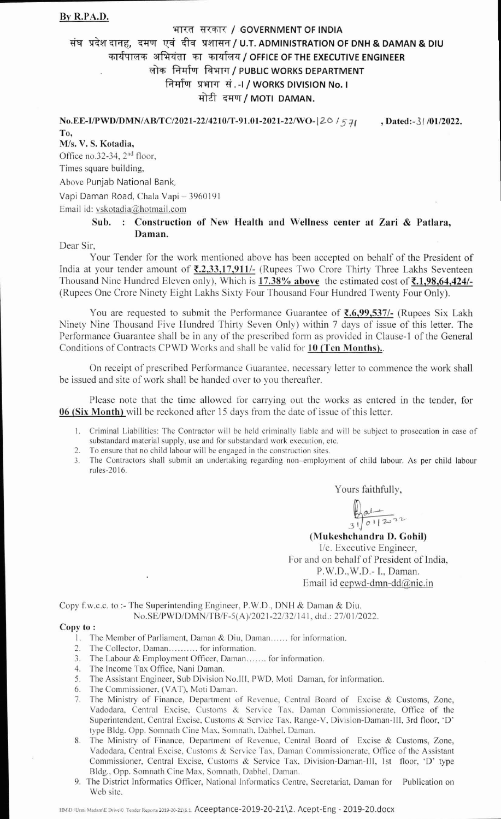## **By R.PA.D.**

## भारत सरकार / GOVERNMENT OF INDIA **Fb \*¶w,** TfT @ & ~~/ U.T. ADMINISTRATION OF DNH & DAMAN & DIU Fh rn h/ PUBLIC WORKS DEPARTMENT **TThTCiT W** WThT/ OFFICE OF THE EXECUTIVE ENGINEER f%k *WfPT* ?f . -1 /WORKS DIVISION No. I मोटी दमण / MOTI DAMAN.

**No.EE-I/PWD/DMN/AB/TC/2021-22/4210/T-91.01-2021-22/WO-[20 / 5 7] , Dated:-3 | /01/2022.** 

**To,**  *MIS.* **V. S. Kotadia,** 

Office no.32-34,  $2<sup>nd</sup>$  floor, Times square building: Above Punjab National Bank, Vapi Daman Road, Chala Vapi - 3960191

Email id: vskotadia@hotmail.com -

## **Sub.** : **Construction of New Health and Wellness center at Zari** & **Patlara, Daman.**

Dear Sir,

Your Tender for the work mentioned above has been accepted on behalf of the President of India at your tender amount of **<u>₹.2,33,17,911/-</u>** (Rupees Two Crore Thirty Three Lakhs Seventeen Thousand Nine Hundred Eleven only), Which is **17.38% above** the estimated cost of **7.1,98,64,424/-**  (Rupees One Crore Ninety Eight Lakhs Sixty Four Thousand Four Hundred Twenty Four Only).

You are requested to submit the Performance Guarantee of **f.6,99,537/-** (Rupees Six **Lakh**  Ninety Nine Thousand Five Hundred Thirty Seven Only) within 7 days of issue of this letter. The Performance Guarantee shall be in any of the prescribed form as provided in Clause-1 of the General Conditions of Contracts CPWD Works and shall be valid for **10 (Ten Months)..** 

On receipt of prescribed Performance Guarantee. necessary letter to commence the work shall be issued and site of work shall be handed over to you thereafter.

Please note that the time allowed for carrying out the works as entered in the tender, for **06 (Six Month)** will be reckoned after 15 days from the date of issue of this letter.

- **1.** Criminal Liabilities: The Contractor will be held criminally liable and will be subject to prosecution in case of substandard material supply, use and for substandard work execution, etc.
- 2. To ensure that no child labour will be engaged in the construction sites.
- 3. The Contractors shall submit an undertaking regarding non-employment of child labour. As per child labour rules-20 16.

Yours faithfully,

 $b$ at  $\frac{1}{3!}$ <br>3 $10!12$ 

**(~ukeshchandra D. Gohil)**  I/c. Executive Engineer, For and on behalf of President of India, P.W.D.,W.D.- I.. Daman. Email id eepwd-dmn-dd@nic.in

Copy f.w.c.c. to :-The Superintending Engineer, P.W.D.. DNH & Daman & Diu. **No.SE/PWDIDMNITBIF-S(A)1?021-22/32/14** I, dtd.: 2710112022.

## **Copy to** :

- 1. The Member of Parliament, Daman & Diu, Daman...... for information.
- 2. The Collector, Daman ........... for information.
- 3. The Labour & Employment Officer, Daman....... for information.
- 4. The Income Tax Office, Nani Daman.
- 5. The Assistant Engineer, Sub Division No.lll, PWD, Moti Daman, for information.
- 6. The Commissioner, (VAT). Moti Daman.
- 7. The Ministry of Finance, Department of Revenue, Central Board of Excise & Customs, Zone, Vadodara, Central Excise, Customs & Service Tax. Daman Commissionerate, Office of the Superintendent, Central Excise, Customs & Service Tax, Range-V, Division-Daman-III, 3rd floor, 'D' type Rldg. Opp. Somnath Cine Max. Somnath. Dabhel. Daman.
- 8. The Ministry of Finance, Department of Revenue, Central Board of Excise & Customs, Zone, Vadodara, Central Excise, Customs & Service Tax, Daman Commissionerate, Office of the Assistant Commissioner, Central Excise, Customs & Service Tax, Division-Daman-Ill, 1st floor, 'D' type Bldg.. Opp. Somnath Cine Max. Somnath. Dabhel. Daman.
- 9. The District Informatics Officer, National Informatics Centre, Secretariat, Daman for Publication on Web site.